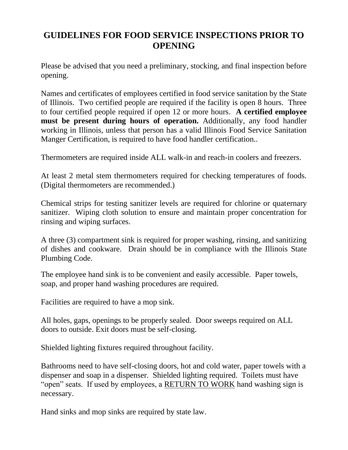## **GUIDELINES FOR FOOD SERVICE INSPECTIONS PRIOR TO OPENING**

Please be advised that you need a preliminary, stocking, and final inspection before opening.

Names and certificates of employees certified in food service sanitation by the State of Illinois. Two certified people are required if the facility is open 8 hours. Three to four certified people required if open 12 or more hours. **A certified employee must be present during hours of operation.** Additionally, any food handler working in Illinois, unless that person has a valid Illinois Food Service Sanitation Manger Certification, is required to have food handler certification..

Thermometers are required inside ALL walk-in and reach-in coolers and freezers.

At least 2 metal stem thermometers required for checking temperatures of foods. (Digital thermometers are recommended.)

Chemical strips for testing sanitizer levels are required for chlorine or quaternary sanitizer. Wiping cloth solution to ensure and maintain proper concentration for rinsing and wiping surfaces.

A three (3) compartment sink is required for proper washing, rinsing, and sanitizing of dishes and cookware. Drain should be in compliance with the Illinois State Plumbing Code.

The employee hand sink is to be convenient and easily accessible. Paper towels, soap, and proper hand washing procedures are required.

Facilities are required to have a mop sink.

All holes, gaps, openings to be properly sealed. Door sweeps required on ALL doors to outside. Exit doors must be self-closing.

Shielded lighting fixtures required throughout facility.

Bathrooms need to have self-closing doors, hot and cold water, paper towels with a dispenser and soap in a dispenser. Shielded lighting required. Toilets must have "open" seats. If used by employees, a RETURN TO WORK hand washing sign is necessary.

Hand sinks and mop sinks are required by state law.